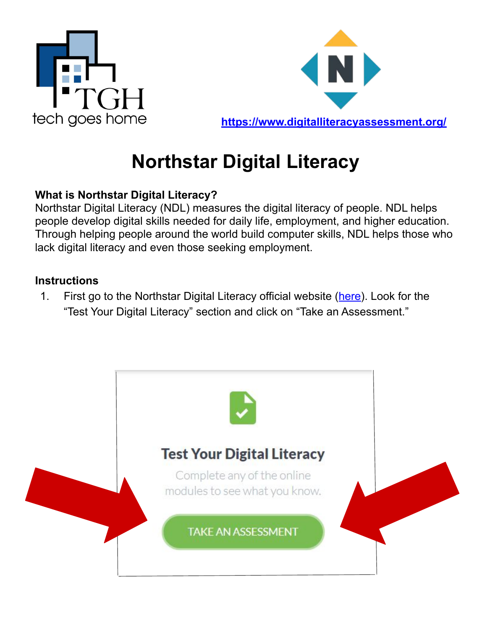



## **Northstar Digital Literacy**

## **What is Northstar Digital Literacy?**

Northstar Digital Literacy (NDL) measures the digital literacy of people. NDL helps people develop digital skills needed for daily life, employment, and higher education. Through helping people around the world build computer skills, NDL helps those who lack digital literacy and even those seeking employment.

## **Instructions**

1. First go to the Northstar Digital Literacy official website ([here\)](https://www.digitalliteracyassessment.org/). Look for the "Test Your Digital Literacy" section and click on "Take an Assessment."

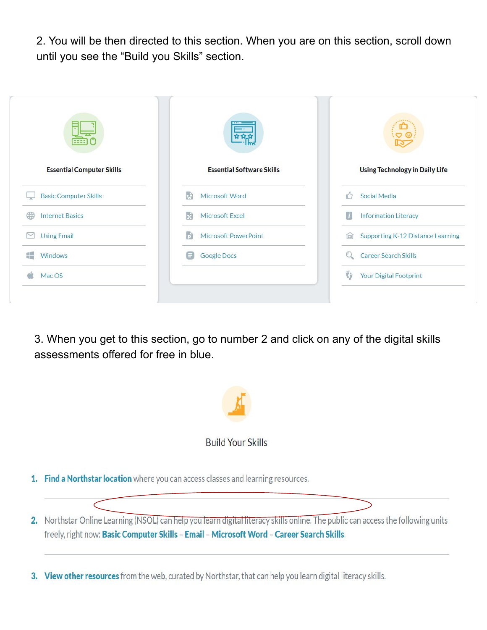2. You will be then directed to this section. When you are on this section, scroll down until you see the "Build you Skills" section.

| ဇာ                                                                        |
|---------------------------------------------------------------------------|
| <b>Essential Software Skills</b><br><b>Using Technology in Daily Life</b> |
| Social Media                                                              |
| П<br><b>Information Literacy</b>                                          |
| Microsoft PowerPoint<br>Supporting K-12 Distance Learning<br>faail        |
| <b>Career Search Skills</b>                                               |
| $\mathcal{C}$<br>Your Digital Footprint                                   |
|                                                                           |

3. When you get to this section, go to number 2 and click on any of the digital skills assessments offered for free in blue.



3. View other resources from the web, curated by Northstar, that can help you learn digital literacy skills.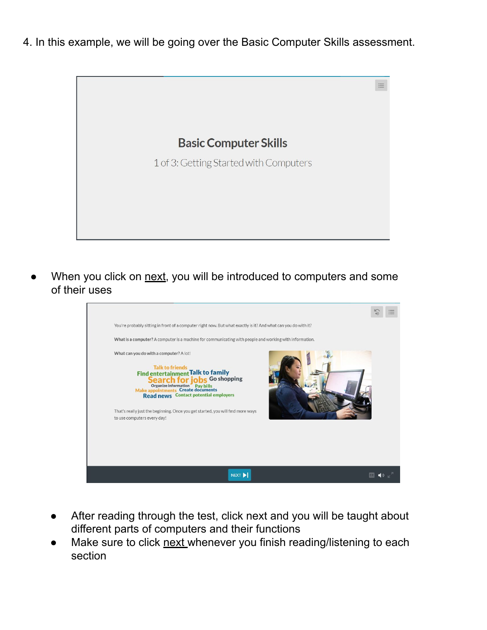4. In this example, we will be going over the Basic Computer Skills assessment.



When you click on next, you will be introduced to computers and some of their uses



- After reading through the test, click next and you will be taught about different parts of computers and their functions
- Make sure to click next whenever you finish reading/listening to each section